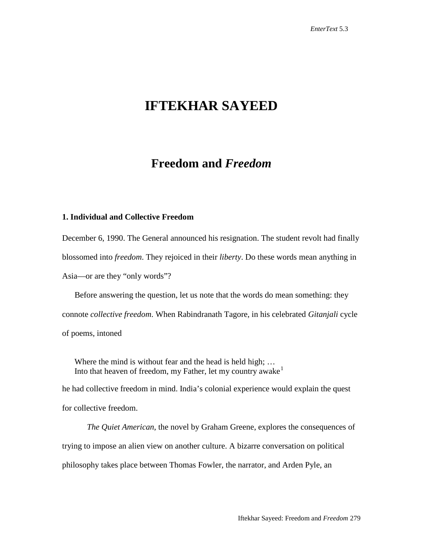# **IFTEKHAR SAYEED**

# **Freedom and** *Freedom*

## **1. Individual and Collective Freedom**

December 6, 1990. The General announced his resignation. The student revolt had finally blossomed into *freedom*. They rejoiced in their *liberty*. Do these words mean anything in Asia—or are they "only words"?

Before answering the question, let us note that the words do mean something: they connote *collective freedom*. When Rabindranath Tagore, in his celebrated *Gitanjali* cycle of poems, intoned

Where the mind is without fear and the head is held high; ... Into that heaven of freedom, my Father, let my country awake<sup>[1](#page-15-0)</sup>

he had collective freedom in mind. India's colonial experience would explain the quest for collective freedom.

*The Quiet American*, the novel by Graham Greene, explores the consequences of trying to impose an alien view on another culture. A bizarre conversation on political philosophy takes place between Thomas Fowler, the narrator, and Arden Pyle, an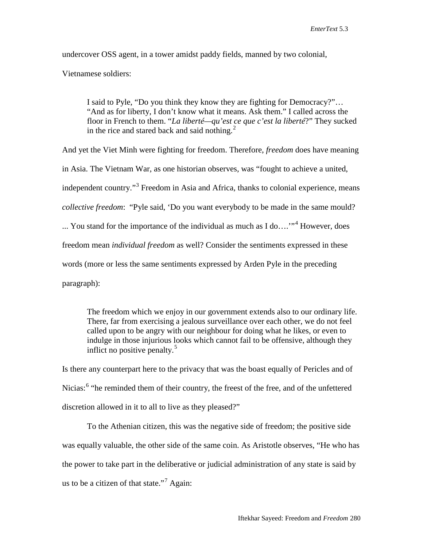undercover OSS agent, in a tower amidst paddy fields, manned by two colonial, Vietnamese soldiers:

I said to Pyle, "Do you think they know they are fighting for Democracy?"… "And as for liberty, I don't know what it means. Ask them." I called across the floor in French to them. "*La liberté—qu'est ce que c'est la liberté*?" They sucked in the rice and stared back and said nothing. $^{2}$  $^{2}$  $^{2}$ 

And yet the Viet Minh were fighting for freedom. Therefore, *freedom* does have meaning in Asia. The Vietnam War, as one historian observes, was "fought to achieve a united, independent country."<sup>[3](#page-16-1)</sup> Freedom in Asia and Africa, thanks to colonial experience, means *collective freedom*: "Pyle said, 'Do you want everybody to be made in the same mould? ... You stand for the importance of the individual as much as I do...."<sup>[4](#page-16-2)</sup> However, does freedom mean *individual freedom* as well? Consider the sentiments expressed in these words (more or less the same sentiments expressed by Arden Pyle in the preceding paragraph):

The freedom which we enjoy in our government extends also to our ordinary life. There, far from exercising a jealous surveillance over each other, we do not feel called upon to be angry with our neighbour for doing what he likes, or even to indulge in those injurious looks which cannot fail to be offensive, although they inflict no positive penalty.<sup>[5](#page-16-3)</sup>

Is there any counterpart here to the privacy that was the boast equally of Pericles and of Nicias:<sup>[6](#page-16-4)</sup> "he reminded them of their country, the freest of the free, and of the unfettered discretion allowed in it to all to live as they pleased?"

To the Athenian citizen, this was the negative side of freedom; the positive side was equally valuable, the other side of the same coin. As Aristotle observes, "He who has the power to take part in the deliberative or judicial administration of any state is said by us to be a citizen of that state."<sup>[7](#page-16-5)</sup> Again: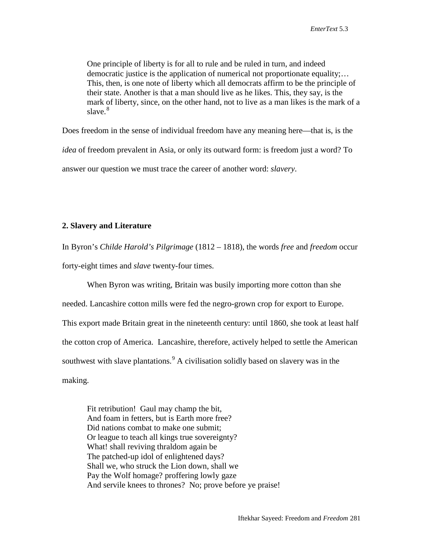One principle of liberty is for all to rule and be ruled in turn, and indeed democratic justice is the application of numerical not proportionate equality;… This, then, is one note of liberty which all democrats affirm to be the principle of their state. Another is that a man should live as he likes. This, they say, is the mark of liberty, since, on the other hand, not to live as a man likes is the mark of a slave. $8$ 

Does freedom in the sense of individual freedom have any meaning here—that is, is the *idea* of freedom prevalent in Asia, or only its outward form: is freedom just a word? To answer our question we must trace the career of another word: *slavery*.

## **2. Slavery and Literature**

In Byron's *Childe Harold's Pilgrimage* (1812 – 1818), the words *free* and *freedom* occur forty-eight times and *slave* twenty-four times.

When Byron was writing, Britain was busily importing more cotton than she needed. Lancashire cotton mills were fed the negro-grown crop for export to Europe. This export made Britain great in the nineteenth century: until 1860, she took at least half the cotton crop of America. Lancashire, therefore, actively helped to settle the American southwest with slave plantations.<sup>[9](#page-17-1)</sup> A civilisation solidly based on slavery was in the making.

Fit retribution! Gaul may champ the bit, And foam in fetters, but is Earth more free? Did nations combat to make one submit; Or league to teach all kings true sovereignty? What! shall reviving thraldom again be The patched-up idol of enlightened days? Shall we, who struck the Lion down, shall we Pay the Wolf homage? proffering lowly gaze And servile knees to thrones? No; prove before ye praise!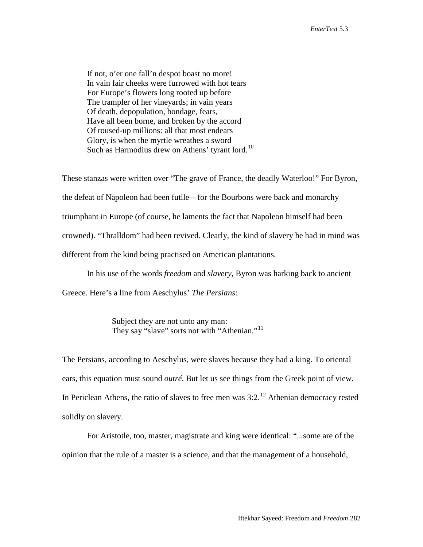If not, o'er one fall'n despot boast no more! In vain fair cheeks were furrowed with hot tears For Europe's flowers long rooted up before The trampler of her vineyards; in vain years Of death, depopulation, bondage, fears, Have all been borne, and broken by the accord Of roused-up millions: all that most endears Glory, is when the myrtle wreathes a sword Such as Harmodius drew on Athens' tyrant lord.<sup>[10](#page-17-2)</sup>

These stanzas were written over "The grave of France, the deadly Waterloo!" For Byron, the defeat of Napoleon had been futile—for the Bourbons were back and monarchy triumphant in Europe (of course, he laments the fact that Napoleon himself had been crowned). "Thralldom" had been revived. Clearly, the kind of slavery he had in mind was different from the kind being practised on American plantations.

In his use of the words *freedom* and *slavery*, Byron was harking back to ancient

Greece. Here's a line from Aeschylus' *The Persians*:

Subject they are not unto any man: They say "slave" sorts not with "Athenian."<sup>[11](#page-17-3)</sup>

The Persians, according to Aeschylus, were slaves because they had a king. To oriental ears, this equation must sound *outré*. But let us see things from the Greek point of view. In Periclean Athens, the ratio of slaves to free men was  $3:2.^{12}$  $3:2.^{12}$  $3:2.^{12}$  Athenian democracy rested solidly on slavery.

For Aristotle, too, master, magistrate and king were identical: "...some are of the opinion that the rule of a master is a science, and that the management of a household,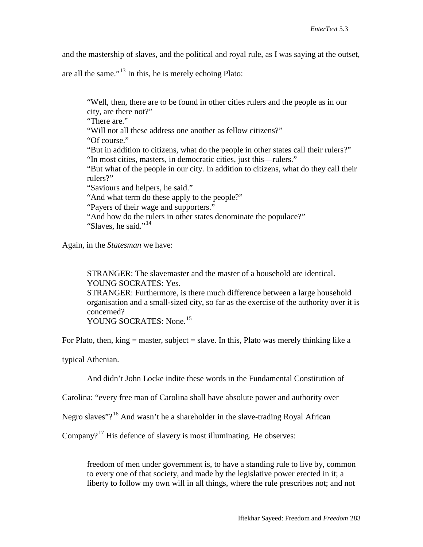and the mastership of slaves, and the political and royal rule, as I was saying at the outset,

are all the same."[13](#page-17-5) In this, he is merely echoing Plato:

"Well, then, there are to be found in other cities rulers and the people as in our city, are there not?" "There are." "Will not all these address one another as fellow citizens?" "Of course." "But in addition to citizens, what do the people in other states call their rulers?" "In most cities, masters, in democratic cities, just this—rulers." "But what of the people in our city. In addition to citizens, what do they call their rulers?" "Saviours and helpers, he said." "And what term do these apply to the people?" "Payers of their wage and supporters." "And how do the rulers in other states denominate the populace?" "Slaves, he said."<sup>[14](#page-17-6)</sup>

Again, in the *Statesman* we have:

STRANGER: The slavemaster and the master of a household are identical. YOUNG SOCRATES: Yes. STRANGER: Furthermore, is there much difference between a large household organisation and a small-sized city, so far as the exercise of the authority over it is concerned?

YOUNG SOCRATES: None.<sup>[15](#page-17-7)</sup>

For Plato, then, king  $=$  master, subject  $=$  slave. In this, Plato was merely thinking like a

typical Athenian.

And didn't John Locke indite these words in the Fundamental Constitution of

Carolina: "every free man of Carolina shall have absolute power and authority over

Negro slaves"?<sup>[16](#page-17-8)</sup> And wasn't he a shareholder in the slave-trading Royal African

Company?<sup>[17](#page-17-9)</sup> His defence of slavery is most illuminating. He observes:

freedom of men under government is, to have a standing rule to live by, common to every one of that society, and made by the legislative power erected in it; a liberty to follow my own will in all things, where the rule prescribes not; and not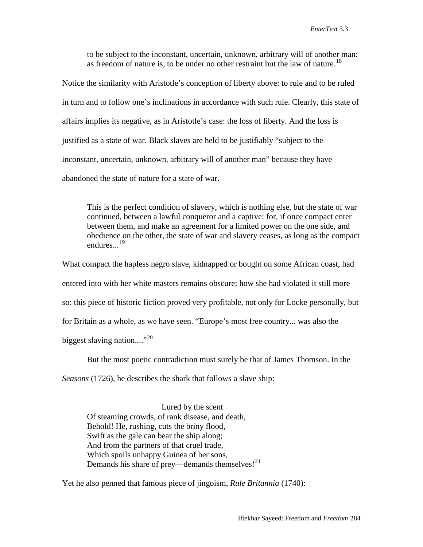to be subject to the inconstant, uncertain, unknown, arbitrary will of another man: as freedom of nature is, to be under no other restraint but the law of nature.<sup>[18](#page-17-10)</sup>

Notice the similarity with Aristotle's conception of liberty above: to rule and to be ruled in turn and to follow one's inclinations in accordance with such rule. Clearly, this state of affairs implies its negative, as in Aristotle's case: the loss of liberty. And the loss is justified as a state of war. Black slaves are held to be justifiably "subject to the inconstant, uncertain, unknown, arbitrary will of another man" because they have abandoned the state of nature for a state of war.

This is the perfect condition of slavery, which is nothing else, but the state of war continued, between a lawful conqueror and a captive: for, if once compact enter between them, and make an agreement for a limited power on the one side, and obedience on the other, the state of war and slavery ceases, as long as the compact endures. $\frac{19}{19}$  $\frac{19}{19}$  $\frac{19}{19}$ 

What compact the hapless negro slave, kidnapped or bought on some African coast, had entered into with her white masters remains obscure; how she had violated it still more so: this piece of historic fiction proved very profitable, not only for Locke personally, but for Britain as a whole, as we have seen. "Europe's most free country... was also the biggest slaving nation...."<sup>[20](#page-17-12)</sup>

But the most poetic contradiction must surely be that of James Thomson. In the

*Seasons* (1726), he describes the shark that follows a slave ship:

Lured by the scent Of steaming crowds, of rank disease, and death, Behold! He, rushing, cuts the briny flood, Swift as the gale can bear the ship along; And from the partners of that cruel trade, Which spoils unhappy Guinea of her sons, Demands his share of prey—demands themselves! $^{21}$  $^{21}$  $^{21}$ 

Yet he also penned that famous piece of jingoism, *Rule Britannia* (1740):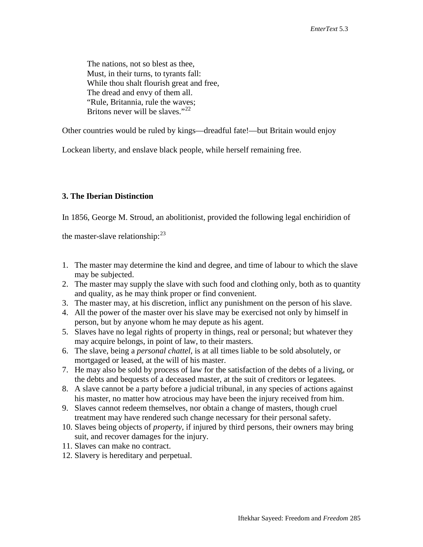The nations, not so blest as thee, Must, in their turns, to tyrants fall: While thou shalt flourish great and free, The dread and envy of them all. "Rule, Britannia, rule the waves; Britons never will be slaves."<sup>[22](#page-17-14)</sup>

Other countries would be ruled by kings—dreadful fate!—but Britain would enjoy

Lockean liberty, and enslave black people, while herself remaining free.

## **3. The Iberian Distinction**

In 1856, George M. Stroud, an abolitionist, provided the following legal enchiridion of

the master-slave relationship: $^{23}$  $^{23}$  $^{23}$ 

- 1. The master may determine the kind and degree, and time of labour to which the slave may be subjected.
- 2. The master may supply the slave with such food and clothing only, both as to quantity and quality, as he may think proper or find convenient.
- 3. The master may, at his discretion, inflict any punishment on the person of his slave.
- 4. All the power of the master over his slave may be exercised not only by himself in person, but by anyone whom he may depute as his agent.
- 5. Slaves have no legal rights of property in things, real or personal; but whatever they may acquire belongs, in point of law, to their masters.
- 6. The slave, being a *personal chattel*, is at all times liable to be sold absolutely, or mortgaged or leased, at the will of his master.
- 7. He may also be sold by process of law for the satisfaction of the debts of a living, or the debts and bequests of a deceased master, at the suit of creditors or legatees.
- 8. A slave cannot be a party before a judicial tribunal, in any species of actions against his master, no matter how atrocious may have been the injury received from him.
- 9. Slaves cannot redeem themselves, nor obtain a change of masters, though cruel treatment may have rendered such change necessary for their personal safety.
- 10. Slaves being objects of *property*, if injured by third persons, their owners may bring suit, and recover damages for the injury.
- 11. Slaves can make no contract.
- 12. Slavery is hereditary and perpetual.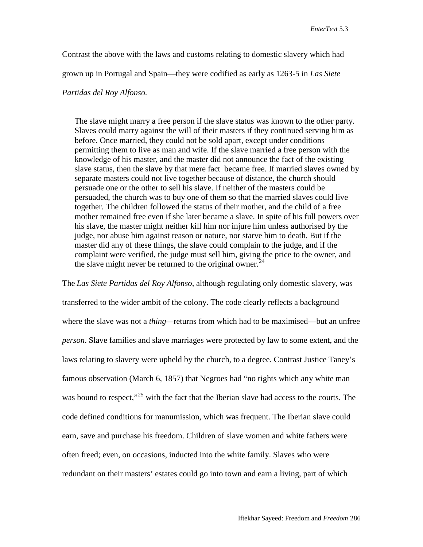Contrast the above with the laws and customs relating to domestic slavery which had

grown up in Portugal and Spain—they were codified as early as 1263-5 in *Las Siete* 

### *Partidas del Roy Alfonso.*

The slave might marry a free person if the slave status was known to the other party. Slaves could marry against the will of their masters if they continued serving him as before. Once married, they could not be sold apart, except under conditions permitting them to live as man and wife. If the slave married a free person with the knowledge of his master, and the master did not announce the fact of the existing slave status, then the slave by that mere fact became free. If married slaves owned by separate masters could not live together because of distance, the church should persuade one or the other to sell his slave. If neither of the masters could be persuaded, the church was to buy one of them so that the married slaves could live together. The children followed the status of their mother, and the child of a free mother remained free even if she later became a slave. In spite of his full powers over his slave, the master might neither kill him nor injure him unless authorised by the judge, nor abuse him against reason or nature, nor starve him to death. But if the master did any of these things, the slave could complain to the judge, and if the complaint were verified, the judge must sell him, giving the price to the owner, and the slave might never be returned to the original owner.<sup>[24](#page-17-16)</sup>

The *Las Siete Partidas del Roy Alfonso*, although regulating only domestic slavery, was transferred to the wider ambit of the colony. The code clearly reflects a background where the slave was not a *thing—*returns from which had to be maximised—but an unfree *person*. Slave families and slave marriages were protected by law to some extent, and the laws relating to slavery were upheld by the church, to a degree. Contrast Justice Taney's famous observation (March 6, 1857) that Negroes had "no rights which any white man was bound to respect,"<sup>[25](#page-17-17)</sup> with the fact that the Iberian slave had access to the courts. The code defined conditions for manumission, which was frequent. The Iberian slave could earn, save and purchase his freedom. Children of slave women and white fathers were often freed; even, on occasions, inducted into the white family. Slaves who were redundant on their masters' estates could go into town and earn a living, part of which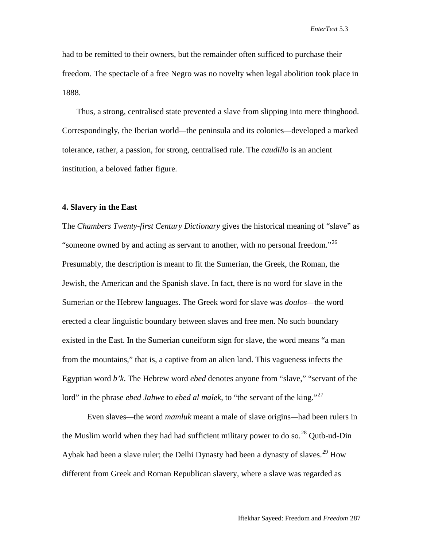had to be remitted to their owners, but the remainder often sufficed to purchase their freedom. The spectacle of a free Negro was no novelty when legal abolition took place in 1888.

Thus, a strong, centralised state prevented a slave from slipping into mere thinghood. Correspondingly, the Iberian world*—*the peninsula and its colonies*—*developed a marked tolerance, rather, a passion, for strong, centralised rule. The *caudillo* is an ancient institution, a beloved father figure.

### **4. Slavery in the East**

The *Chambers Twenty-first Century Dictionary* gives the historical meaning of "slave" as "someone owned by and acting as servant to another, with no personal freedom."<sup>[26](#page-17-18)</sup> Presumably, the description is meant to fit the Sumerian, the Greek, the Roman, the Jewish, the American and the Spanish slave. In fact, there is no word for slave in the Sumerian or the Hebrew languages. The Greek word for slave was *doulos—*the word erected a clear linguistic boundary between slaves and free men. No such boundary existed in the East. In the Sumerian cuneiform sign for slave, the word means "a man from the mountains," that is, a captive from an alien land. This vagueness infects the Egyptian word *b'k*. The Hebrew word *ebed* denotes anyone from "slave," "servant of the lord" in the phrase *ebed Jahwe* to *ebed al malek*, to "the servant of the king."<sup>[27](#page-17-19)</sup>

Even slaves*—*the word *mamluk* meant a male of slave origins*—*had been rulers in the Muslim world when they had had sufficient military power to do so.<sup>[28](#page-17-20)</sup> Qutb-ud-Din Aybak had been a slave ruler; the Delhi Dynasty had been a dynasty of slaves.<sup>[29](#page-17-21)</sup> How different from Greek and Roman Republican slavery, where a slave was regarded as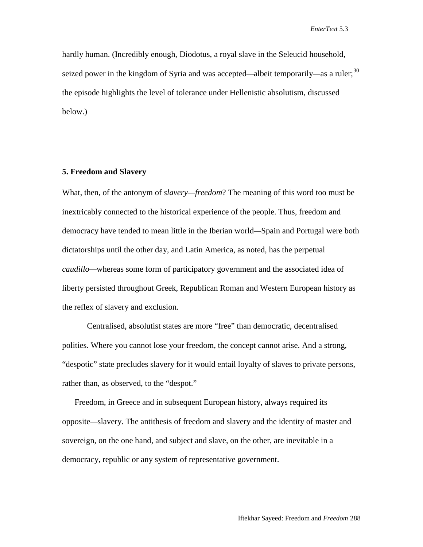hardly human. (Incredibly enough, Diodotus, a royal slave in the Seleucid household, seized power in the kingdom of Syria and was accepted*—*albeit temporarily*—*as a ruler; [30](#page-17-22) the episode highlights the level of tolerance under Hellenistic absolutism, discussed below.)

### **5. Freedom and Slavery**

What, then, of the antonym of *slavery—freedom*? The meaning of this word too must be inextricably connected to the historical experience of the people. Thus, freedom and democracy have tended to mean little in the Iberian world*—*Spain and Portugal were both dictatorships until the other day, and Latin America, as noted, has the perpetual *caudillo—*whereas some form of participatory government and the associated idea of liberty persisted throughout Greek, Republican Roman and Western European history as the reflex of slavery and exclusion.

Centralised, absolutist states are more "free" than democratic, decentralised polities. Where you cannot lose your freedom, the concept cannot arise. And a strong, "despotic" state precludes slavery for it would entail loyalty of slaves to private persons, rather than, as observed, to the "despot."

Freedom, in Greece and in subsequent European history, always required its opposite*—*slavery. The antithesis of freedom and slavery and the identity of master and sovereign, on the one hand, and subject and slave, on the other, are inevitable in a democracy, republic or any system of representative government.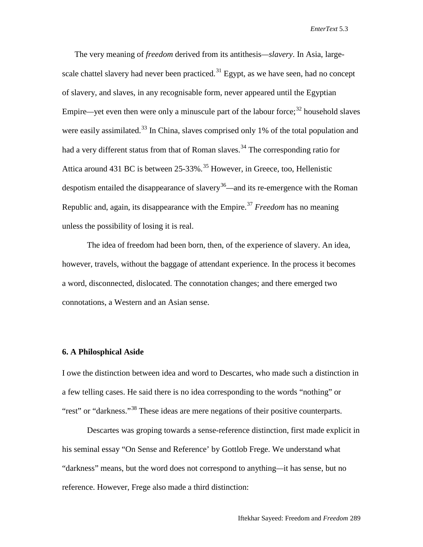*EnterText* 5.3

The very meaning of *freedom* derived from its antithesis*—slavery*. In Asia, large-scale chattel slavery had never been practiced.<sup>[31](#page-17-23)</sup> Egypt, as we have seen, had no concept of slavery, and slaves, in any recognisable form, never appeared until the Egyptian Empire—yet even then were only a minuscule part of the labour force;<sup>[32](#page-17-24)</sup> household slaves were easily assimilated.<sup>[33](#page-17-25)</sup> In China, slaves comprised only 1% of the total population and had a very different status from that of Roman slaves.<sup>[34](#page-17-26)</sup> The corresponding ratio for Attica around 431 BC is between 25-33%.<sup>[35](#page-17-27)</sup> However, in Greece, too, Hellenistic despotism entailed the disappearance of slavery<sup>[36](#page-17-28)</sup>—and its re-emergence with the Roman Republic and, again, its disappearance with the Empire. [37](#page-17-29) *Freedom* has no meaning unless the possibility of losing it is real.

The idea of freedom had been born, then, of the experience of slavery. An idea, however, travels, without the baggage of attendant experience. In the process it becomes a word, disconnected, dislocated. The connotation changes; and there emerged two connotations, a Western and an Asian sense.

#### **6. A Philosphical Aside**

I owe the distinction between idea and word to Descartes, who made such a distinction in a few telling cases. He said there is no idea corresponding to the words "nothing" or "rest" or "darkness."<sup>[38](#page-17-30)</sup> These ideas are mere negations of their positive counterparts.

Descartes was groping towards a sense-reference distinction, first made explicit in his seminal essay "On Sense and Reference' by Gottlob Frege. We understand what "darkness" means, but the word does not correspond to anything*—*it has sense, but no reference. However, Frege also made a third distinction: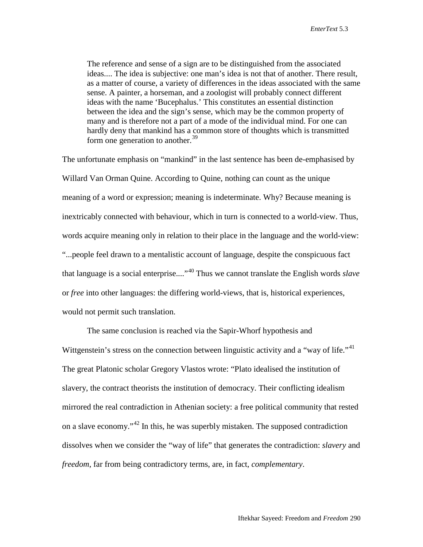The reference and sense of a sign are to be distinguished from the associated ideas.... The idea is subjective: one man's idea is not that of another. There result, as a matter of course, a variety of differences in the ideas associated with the same sense. A painter, a horseman, and a zoologist will probably connect different ideas with the name 'Bucephalus.' This constitutes an essential distinction between the idea and the sign's sense, which may be the common property of many and is therefore not a part of a mode of the individual mind. For one can hardly deny that mankind has a common store of thoughts which is transmitted form one generation to another. $39$ 

The unfortunate emphasis on "mankind" in the last sentence has been de-emphasised by Willard Van Orman Quine. According to Quine, nothing can count as the unique meaning of a word or expression; meaning is indeterminate. Why? Because meaning is inextricably connected with behaviour, which in turn is connected to a world-view. Thus, words acquire meaning only in relation to their place in the language and the world-view: "...people feel drawn to a mentalistic account of language, despite the conspicuous fact that language is a social enterprise...."[40](#page-17-32) Thus we cannot translate the English words *slave* or *free* into other languages: the differing world-views, that is, historical experiences, would not permit such translation.

The same conclusion is reached via the Sapir-Whorf hypothesis and Wittgenstein's stress on the connection between linguistic activity and a "way of life."<sup>[41](#page-17-33)</sup> The great Platonic scholar Gregory Vlastos wrote: "Plato idealised the institution of slavery, the contract theorists the institution of democracy. Their conflicting idealism mirrored the real contradiction in Athenian society: a free political community that rested on a slave economy."[42](#page-17-34) In this, he was superbly mistaken. The supposed contradiction dissolves when we consider the "way of life" that generates the contradiction: *slavery* and *freedom*, far from being contradictory terms, are, in fact, *complementary*.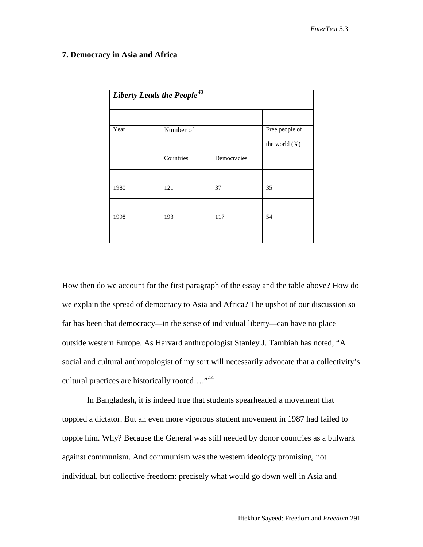### **7. Democracy in Asia and Africa**

| Liberty Leads the People <sup>43</sup> |           |             |                |
|----------------------------------------|-----------|-------------|----------------|
|                                        |           |             |                |
| Year                                   | Number of |             | Free people of |
|                                        |           |             | the world (%)  |
|                                        | Countries | Democracies |                |
|                                        |           |             |                |
| 1980                                   | 121       | 37          | 35             |
|                                        |           |             |                |
| 1998                                   | 193       | 117         | 54             |
|                                        |           |             |                |

How then do we account for the first paragraph of the essay and the table above? How do we explain the spread of democracy to Asia and Africa? The upshot of our discussion so far has been that democracy*—*in the sense of individual liberty*—*can have no place outside western Europe. As Harvard anthropologist Stanley J. Tambiah has noted, "A social and cultural anthropologist of my sort will necessarily advocate that a collectivity's cultural practices are historically rooted.... $^{44}$  $^{44}$  $^{44}$ 

In Bangladesh, it is indeed true that students spearheaded a movement that toppled a dictator. But an even more vigorous student movement in 1987 had failed to topple him. Why? Because the General was still needed by donor countries as a bulwark against communism. And communism was the western ideology promising, not individual, but collective freedom: precisely what would go down well in Asia and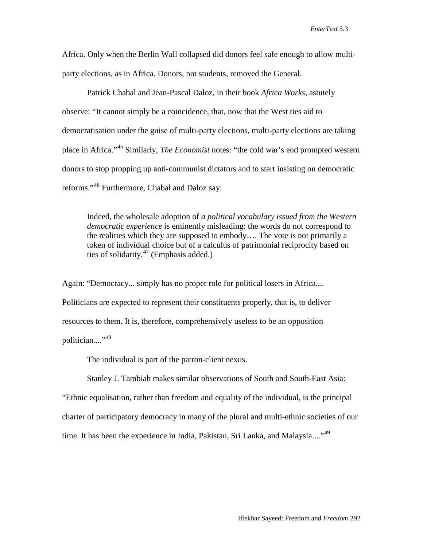Africa. Only when the Berlin Wall collapsed did donors feel safe enough to allow multiparty elections, as in Africa. Donors, not students, removed the General.

Patrick Chabal and Jean-Pascal Daloz, in their book *Africa Works*, astutely observe: "It cannot simply be a coincidence, that, now that the West ties aid to democratisation under the guise of multi-party elections, multi-party elections are taking place in Africa."[45](#page-17-37) Similarly, *The Economist* notes: "the cold war's end prompted western donors to stop propping up anti-communist dictators and to start insisting on democratic reforms."[46](#page-17-38) Furthermore, Chabal and Daloz say:

Indeed, the wholesale adoption of *a political vocabulary issued from the Western democratic experience* is eminently misleading: the words do not correspond to the realities which they are supposed to embody…. The vote is not primarily a token of individual choice but of a calculus of patrimonial reciprocity based on ties of solidarity. $47$  (Emphasis added.)

Again: "Democracy... simply has no proper role for political losers in Africa.... Politicians are expected to represent their constituents properly, that is, to deliver resources to them. It is, therefore, comprehensively useless to be an opposition politician...."<sup>[48](#page-17-40)</sup>

The individual is part of the patron-client nexus.

Stanley J. Tambiah makes similar observations of South and South-East Asia:

"Ethnic equalisation, rather than freedom and equality of the individual, is the principal charter of participatory democracy in many of the plural and multi-ethnic societies of our time. It has been the experience in India, Pakistan, Sri Lanka, and Malaysia...."<sup>[49](#page-17-0)</sup>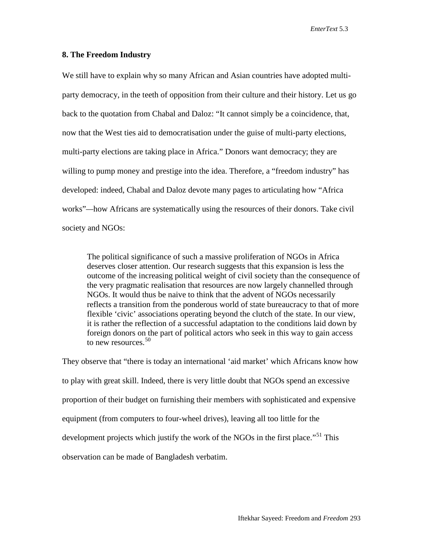*EnterText* 5.3

### **8. The Freedom Industry**

We still have to explain why so many African and Asian countries have adopted multiparty democracy, in the teeth of opposition from their culture and their history. Let us go back to the quotation from Chabal and Daloz: "It cannot simply be a coincidence, that, now that the West ties aid to democratisation under the guise of multi-party elections, multi-party elections are taking place in Africa." Donors want democracy; they are willing to pump money and prestige into the idea. Therefore, a "freedom industry" has developed: indeed, Chabal and Daloz devote many pages to articulating how "Africa works"*—*how Africans are systematically using the resources of their donors. Take civil society and NGOs:

The political significance of such a massive proliferation of NGOs in Africa deserves closer attention. Our research suggests that this expansion is less the outcome of the increasing political weight of civil society than the consequence of the very pragmatic realisation that resources are now largely channelled through NGOs. It would thus be naive to think that the advent of NGOs necessarily reflects a transition from the ponderous world of state bureaucracy to that of more flexible 'civic' associations operating beyond the clutch of the state. In our view, it is rather the reflection of a successful adaptation to the conditions laid down by foreign donors on the part of political actors who seek in this way to gain access to new resources.  $50$ 

They observe that "there is today an international 'aid market' which Africans know how to play with great skill. Indeed, there is very little doubt that NGOs spend an excessive proportion of their budget on furnishing their members with sophisticated and expensive equipment (from computers to four-wheel drives), leaving all too little for the development projects which justify the work of the NGOs in the first place."<sup>[51](#page-17-2)</sup> This observation can be made of Bangladesh verbatim.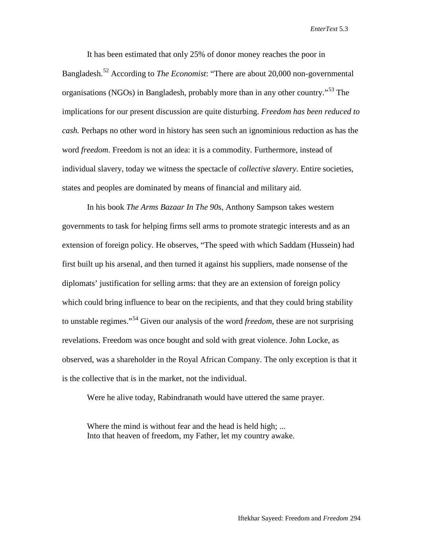*EnterText* 5.3

<span id="page-15-0"></span>It has been estimated that only 25% of donor money reaches the poor in Bangladesh.[52](#page-17-3) According to *The Economist*: "There are about 20,000 non-governmental organisations (NGOs) in Bangladesh, probably more than in any other country.<sup>[53](#page-17-41)</sup> The implications for our present discussion are quite disturbing. *Freedom has been reduced to cash.* Perhaps no other word in history has seen such an ignominious reduction as has the word *freedom*. Freedom is not an idea: it is a commodity. Furthermore, instead of individual slavery, today we witness the spectacle of *collective slavery*. Entire societies, states and peoples are dominated by means of financial and military aid.

In his book *The Arms Bazaar In The 90s*, Anthony Sampson takes western governments to task for helping firms sell arms to promote strategic interests and as an extension of foreign policy. He observes, "The speed with which Saddam (Hussein) had first built up his arsenal, and then turned it against his suppliers, made nonsense of the diplomats' justification for selling arms: that they are an extension of foreign policy which could bring influence to bear on the recipients, and that they could bring stability to unstable regimes."[54](#page-17-4) Given our analysis of the word *freedom*, these are not surprising revelations. Freedom was once bought and sold with great violence. John Locke, as observed, was a shareholder in the Royal African Company. The only exception is that it is the collective that is in the market, not the individual.

Were he alive today, Rabindranath would have uttered the same prayer.

Where the mind is without fear and the head is held high: ... Into that heaven of freedom, my Father, let my country awake.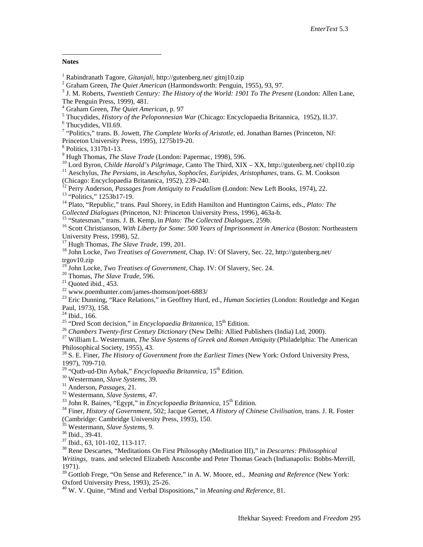#### **Notes**

 $\overline{a}$ 

<span id="page-16-0"></span>

<span id="page-16-1"></span>

<sup>1</sup> Rabindranath Tagore, *Gitanjali*, http://gutenberg.net/ gitnj10.zip<br>
<sup>2</sup> Graham Green, *The Quiet American* (Harmondsworth: Penguin, 1955), 93, 97.<br>
<sup>3</sup> J. M. Roberts, *Twentieth Century: The History of the World: 190* The Penguin Press, 1999), 481.<br><sup>4</sup> Graham Green, *The Quiet American*, p. 97

<span id="page-16-4"></span><span id="page-16-3"></span><span id="page-16-2"></span><sup>5</sup> Thucydides, *History of the Peloponnesian War* (Chicago: Encyclopaedia Britannica, 1952), II.37.<br><sup>6</sup> Thucydides, VII.69.<br><sup>7</sup> "Politics," trans. B. Jowett, *The Complete Works of Aristotle*, ed. Jonathan Barnes (Prince

<sup>8</sup> Politics, 1317b1-13.<br><sup>9</sup> Hugh Thomas, *The Slave Trade* (London: Papermac, 1998), 596.<br><sup>10</sup> Lord Byron, *Childe Harold's Pilgrimage*, Canto The Third, XIX – XX, http://gutenberg.net/ chpl10.zip<br><sup>11</sup> Aeschylus, *The Pe* 

<sup>12</sup> Perry Anderson, *Passages from Antiquity to Feudalism* (London: New Left Books, 1974), 22.<br><sup>13</sup> "Politics," 1253b17-19.<br><sup>14</sup> Plato, "Republic," trans. Paul Shorey, in Edith Hamilton and Huntington Cairns, eds., *Plat* 

<sup>15</sup> "Statesman," trans. J. B. Kemp, in *Plato: The Collected Dialogues*, 259b.<br><sup>16</sup> Scott Christianson, *With Liberty for Some: 500 Years of Imprisonment in America* (Boston: Northeastern University Press, 1998), 52.

<sup>17</sup> Hugh Thomas, *The Slave Trade*, 199, 201.<br><sup>18</sup> John Locke, *Two Treatises of Government*, Chap. IV: Of Slavery, Sec. 22, http://gutenberg.net/ trgov10.zip<br><sup>19</sup> John Locke, *Two Treatises of Government*, Chap. IV: Of Slavery, Sec. 24.

<sup>20</sup> Thomas, *The Slave Trade*, 596.<br>
<sup>21</sup> Quoted ibid., 453.<br>
<sup>22</sup> www.poemhunter.com/james-thomson/poet-6883/<br>
<sup>23</sup> Eric Dunning, "Race Relations," in Geoffrey Hurd, ed., *Human Societies* (London: Routledge and Kegan

Paul, 1973), 158.<br><sup>24</sup> Ibid., 166.<br><sup>25</sup> "Dred Scott decision," in *Encyclopaedia Britannica*, 15<sup>th</sup> Edition.<br><sup>26</sup> Chambers Twenty-first Century Dictionary (New Delhi: Allied Publishers (India) Ltd, 2000).<br><sup>27</sup> William L.

<sup>28</sup> S. E. Finer, *The History of Government from the Earliest Times* (New York: Oxford University Press, 1997), 709-710.

<sup>29</sup> "Qutb-ud-Din Aybak," *Encyclopaedia Britannica*,  $15^{th}$  Edition.<br><sup>30</sup> Westermann, *Slave Systems*, 39.<br><sup>31</sup> Anderson, *Passages*, 21.<br><sup>32</sup> Westermann, *Slave Systems*, 47.<br><sup>33</sup> John R. Baines, "Egypt," in *Encyclopa* 

<sup>35</sup> Westermann, *Slave Systems*, 9.<br>
<sup>36</sup> Ibid., 39-41.<br>
<sup>37</sup> Ibid., 63, 101-102, 113-117.<br>
<sup>38</sup> Rene Descartes, "Meditations On First Philosophy (Meditation III)," in *Descartes: Philosophical Writings*, trans. and selected Elizabeth Anscombe and Peter Thomas Geach (Indianapolis: Bobbs-Merrill, 1971).

<sup>39</sup> Gottlob Frege, "On Sense and Reference," in A. W. Moore, ed., *Meaning and Reference* (New York: Oxford University Press, 1993), 25-26.

<sup>40</sup> W. V. Quine, "Mind and Verbal Dispositions," in *Meaning and Reference*, 81.

<span id="page-16-5"></span>